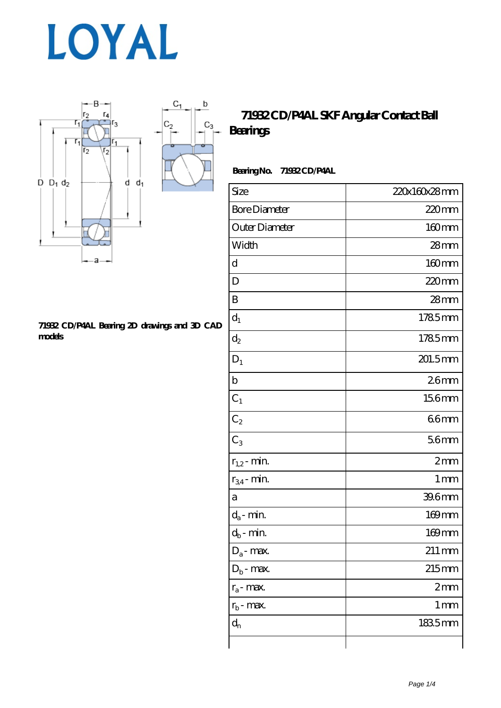



### **[71932 CD/P4AL Bearing 2D drawings and 3D CAD](https://www.haoxingdj.com/pic-64598224.html) [models](https://www.haoxingdj.com/pic-64598224.html)**

### **[71932 CD/P4AL SKF Angular Contact Ball](https://www.haoxingdj.com/sell-64598224-71932-cd-p4al-skf-angular-contact-ball-bearings.html) [Bearings](https://www.haoxingdj.com/sell-64598224-71932-cd-p4al-skf-angular-contact-ball-bearings.html)**

### **Bearing No. 71932 CD/P4AL**

| Size                 | 220x160x28mm        |
|----------------------|---------------------|
| <b>Bore Diameter</b> | $220$ mm            |
| Outer Diameter       | $160$ mm            |
| Width                | $28$ mm             |
| d                    | 160mm               |
| D                    | 220mm               |
| B                    | $28$ mm             |
| $d_1$                | 1785mm              |
| $d_2$                | 1785mm              |
| $D_1$                | 201.5mm             |
| $\mathbf b$          | 26mm                |
| $C_1$                | 156mm               |
| $C_2$                | 66mm                |
| $C_3$                | 56mm                |
| $r_{1,2}$ - min.     | 2mm                 |
| $r_{34}$ - min.      | 1 <sub>mm</sub>     |
| а                    | 39.6mm              |
| $d_a$ - min.         | 169mm               |
| $d_b$ - min.         | 169mm               |
| $D_a$ - max.         | $211 \,\mathrm{mm}$ |
| $D_b$ - max.         | $215 \text{mm}$     |
| $r_a$ - max.         | 2mm                 |
| $r_{\rm b}$ - max.   | 1 <sub>mm</sub>     |
| $d_{n}$              | 1835mm              |
|                      |                     |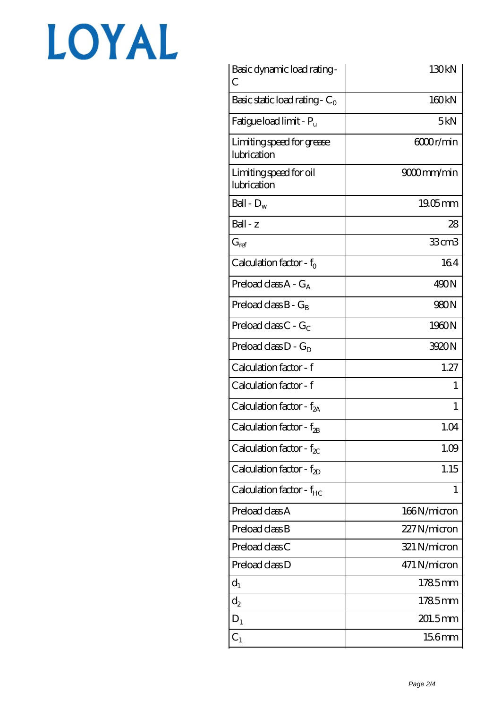# LOYAL

| Basic dynamic load rating -<br>C         | 130kN        |
|------------------------------------------|--------------|
| Basic static load rating - $C_0$         | 160kN        |
| Fatigue load limit - $P_{\rm u}$         | 5kN          |
| Limiting speed for grease<br>lubrication | 6000r/min    |
| Limiting speed for oil<br>lubrication    | 9000mm/min   |
| Ball - $D_w$                             | $1905$ mm    |
| Ball - z                                 | 28           |
| $G_{ref}$                                | $33$ cm $3$  |
| Calculation factor - $f_0$               | 164          |
| Preload class $A - G_A$                  | 490N         |
| Preload class $B - G_B$                  | 980N         |
| Preload class $C - G_C$                  | 1960N        |
| Preload class $D - G_D$                  | 3920N        |
| Calculation factor - f                   | 1.27         |
| Calculation factor - f                   | 1            |
| Calculation factor - $f_{2A}$            | 1            |
| Calculation factor - $f_{\text{2B}}$     | 1.04         |
| Calculation factor - $f_{\chi}$          | 1.09         |
| Calculation factor - $f_{2D}$            | 1.15         |
| Calculation factor - $f_{HC}$            | 1            |
| Preload class A                          | 166N/micron  |
| Preload class B                          | 227N/micron  |
| Preload class C                          | 321 N/micron |
| Preload class D                          | 471 N/micron |
| $d_1$                                    | 1785mm       |
| $\mathrm{d}_2$                           | 1785mm       |
| $D_1$                                    | 201.5mm      |
| $C_{1}$                                  | 156mm        |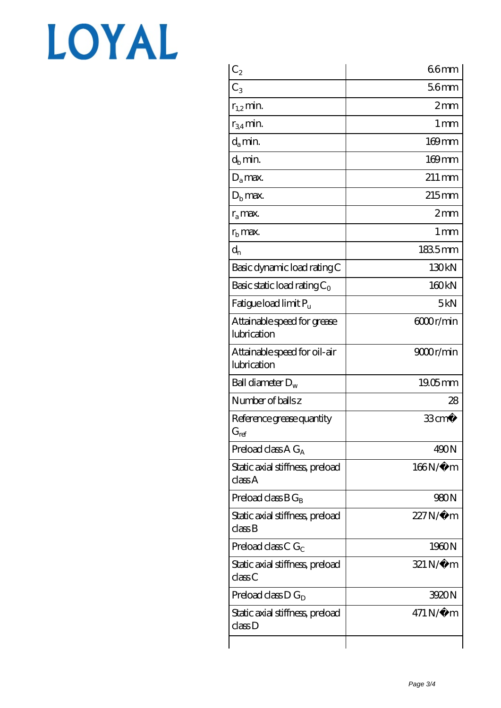# LOYAL

| $\mathrm{C}_2$                                | 66mm                   |
|-----------------------------------------------|------------------------|
| $C_3$                                         | 56mm                   |
| $r_{1,2}$ min.                                | 2mm                    |
| $r_{34}$ min.                                 | $1 \,\mathrm{mm}$      |
| $d_a$ min.                                    | 169mm                  |
| $d_h$ min.                                    | $169$ mm               |
| $D_a$ max.                                    | $211 \,\mathrm{mm}$    |
| $D_{\rm b}$ max.                              | $215$ <sub>mm</sub>    |
| $r_a$ max.                                    | 2mm                    |
| $rb$ max.                                     | 1 <sub>mm</sub>        |
| $d_{n}$                                       | 1835mm                 |
| Basic dynamic load rating C                   | 130kN                  |
| Basic static load rating $C_0$                | 160 <sub>kN</sub>      |
| Fatigue load limit Pu                         | 5kN                    |
| Attainable speed for grease<br>lubrication    | 6000r/min              |
| Attainable speed for oil-air<br>lubrication   | 9000r/min              |
| Ball diameter $D_w$                           | $19.05$ mm             |
| Number of balls z                             | 28                     |
| Reference grease quantity<br>$G_{\text{ref}}$ | $33 \text{cm}^3$       |
| Preload class $A G_A$                         | 490N                   |
| Static axial stiffness, preload<br>classA     | $166N/\mu$ m           |
| Preload class $BG_R$                          | 980N                   |
| Static axial stiffness, preload<br>classB     | $227N/\mu$ m           |
| Preload class C $G_C$                         | 1960N                  |
| Static axial stiffness, preload<br>classC     | $321 N/\mu$ m          |
| Preload class D $G_D$                         | 3920N                  |
| Static axial stiffness, preload<br>classD     | $471\,\mathrm{N}\mu$ m |